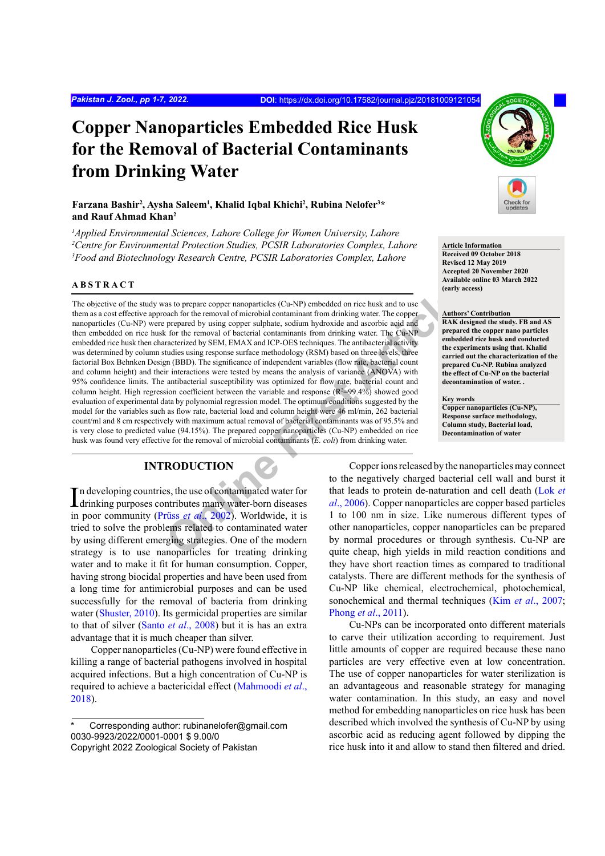# **Copper Nanoparticles Embedded Rice Husk for the Removal of Bacterial Contaminants from Drinking Water**

## **Farzana Bashir2 , Aysha Saleem1 , Khalid Iqbal Khichi2 , Rubina Nelofer3 \* and Rauf Ahmad Khan2**

*1 Applied Environmental Sciences, Lahore College for Women University, Lahore 2 Centre for Environmental Protection Studies, PCSIR Laboratories Complex, Lahore 3 Food and Biotechnology Research Centre, PCSIR Laboratories Complex, Lahore*

## **ABSTRACT**

as to prepare copper nanoparticles (Cu-NP) embedded on rice busk and to use<br>and for the removal of microbial contaminant from drinking water. The copper<br>prepared by using copper sulphate, sodium hydroxide and ascorbic acid The objective of the study was to prepare copper nanoparticles (Cu-NP) embedded on rice husk and to use them as a cost effective approach for the removal of microbial contaminant from drinking water. The copper nanoparticles (Cu-NP) were prepared by using copper sulphate, sodium hydroxide and ascorbic acid and then embedded on rice husk for the removal of bacterial contaminants from drinking water. The Cu-NP embedded rice husk then characterized by SEM, EMAX and ICP-OES techniques. The antibacterial activity was determined by column studies using response surface methodology (RSM) based on three levels, three factorial Box Behnken Design (BBD). The significance of independent variables (flow rate, bacterial count and column height) and their interactions were tested by means the analysis of variance (ANOVA) with 95% confidence limits. The antibacterial susceptibility was optimized for flow rate, bacterial count and column height. High regression coefficient between the variable and response  $(\mathbb{R}^2 = 99.4\%)$  showed good evaluation of experimental data by polynomial regression model. The optimum conditions suggested by the model for the variables such as flow rate, bacterial load and column height were 46 ml/min, 262 bacterial count/ml and 8 cm respectively with maximum actual removal of bacterial contaminants was of 95.5% and is very close to predicted value (94.15%). The prepared copper nanoparticles (Cu-NP) embedded on rice husk was found very effective for the removal of microbial contaminants (*E. coli*) from drinking water.

## **INTRODUCTION**

In developing countries, the use of contaminated water for<br>drinking purposes contributes many water-born diseases drinking purposes contributes many water-born diseases in poor community (Prüss *et al*., 2002). Worldwide, it is tried to solve the problems related to contaminated water by using different emerging strategies. One of the modern strategy is to use nanoparticles for treating drinking water and to make it fit for human consumption. Copper, having strong biocidal properties and have been used from a long time for antimicrobial purposes and can be used successfully for the removal of bacteria from drinking water ([Shuster, 2010](#page-6-0)). Its germicidal properties are similar to that of silver (Santo *et al*[., 2008](#page-5-0)) but it is has an extra advantage that it is much cheaper than silver.

Copper nanoparticles (Cu-NP) were found effective in killing a range of bacterial pathogens involved in hospital acquired infections. But a high concentration of Cu-NP is required to achieve a bactericidal effect [\(Mahmoodi](#page-5-1) *et al*., [2018](#page-5-1)).



Cu-NPs can be incorporated onto different materials to carve their utilization according to requirement. Just little amounts of copper are required because these nano particles are very effective even at low concentration. The use of copper nanoparticles for water sterilization is an advantageous and reasonable strategy for managing water contamination. In this study, an easy and novel method for embedding nanoparticles on rice husk has been described which involved the synthesis of Cu-NP by using ascorbic acid as reducing agent followed by dipping the rice husk into it and allow to stand then filtered and dried.



**Article Information Received 09 October 2018 Revised 12 May 2019 Accepted 20 November 2020 Available online 03 March 2022 (early access)**

#### **Authors' Contribution RAK designed the study. FB and AS prepared the copper nano particles**

**embedded rice husk and conducted the experiments using that. Khalid carried out the characterization of the prepared Cu-NP. Rubina analyzed the effect of Cu-NP on the bacterial decontamination of water. .**

#### **Key words**

**Copper nanoparticles (Cu-NP), Response surface methodology, Column study, Bacterial load, Decontamination of water**

Corresponding author: rubinanelofer@gmail.com 0030-9923/2022/0001-0001 \$ 9.00/0 Copyright 2022 Zoological Society of Pakistan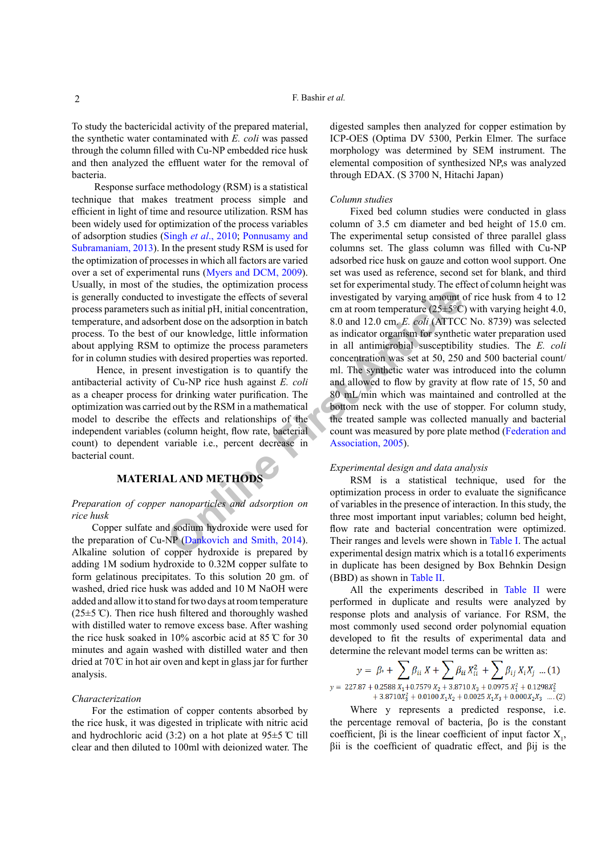To study the bactericidal activity of the prepared material, the synthetic water contaminated with *E. coli* was passed through the column filled with Cu-NP embedded rice husk and then analyzed the effluent water for the removal of bacteria.

 Response surface methodology (RSM) is a statistical technique that makes treatment process simple and efficient in light of time and resource utilization. RSM has been widely used for optimization of the process variables of adsorption studies (Singh *et al*[., 2010](#page-6-1); [Ponnusamy and](#page-5-5) [Subramaniam, 2013\)](#page-5-5). In the present study RSM is used for the optimization of processes in which all factors are varied over a set of experimental runs [\(Myers and DCM, 2009](#page-5-6)). Usually, in most of the studies, the optimization process is generally conducted to investigate the effects of several process parameters such as initial pH, initial concentration, temperature, and adsorbent dose on the adsorption in batch process. To the best of our knowledge, little information about applying RSM to optimize the process parameters for in column studies with desired properties was reported.

 Hence, in present investigation is to quantify the antibacterial activity of Cu-NP rice hush against *E. coli* as a cheaper process for drinking water purification. The optimization was carried out by the RSM in a mathematical model to describe the effects and relationships of the independent variables (column height, flow rate, bacterial count) to dependent variable i.e., percent decrease in bacterial count.

## **MATERIAL AND METHODS**

## *Preparation of copper nanoparticles and adsorption on rice husk*

Copper sulfate and sodium hydroxide were used for the preparation of Cu-NP (Dankovich and Smith, 2014). Alkaline solution of copper hydroxide is prepared by adding 1M sodium hydroxide to 0.32M copper sulfate to form gelatinous precipitates. To this solution 20 gm. of washed, dried rice husk was added and 10 M NaOH were added and allow it to stand for two days at room temperature  $(25\pm5 \text{ C})$ . Then rice hush filtered and thoroughly washed with distilled water to remove excess base. After washing the rice husk soaked in 10% ascorbic acid at 85 ̊C for 30 minutes and again washed with distilled water and then dried at  $70^{\circ}$  C in hot air oven and kept in glass jar for further analysis.

## *Characterization*

For the estimation of copper contents absorbed by the rice husk, it was digested in triplicate with nitric acid and hydrochloric acid (3:2) on a hot plate at 95±5 ̊C till clear and then diluted to 100ml with deionized water. The digested samples then analyzed for copper estimation by ICP-OES (Optima DV 5300, Perkin Elmer. The surface morphology was determined by SEM instrument. The elemental composition of synthesized NP,s was analyzed through EDAX. (S 3700 N, Hitachi Japan)

#### *Column studies*

**CONFIDENTIFY ART SET ART SET ART SET ART SOUTH ART SOUTH AND METHODS<br>
<b>ON ART SOUTH ART SOUTH ART SOUTH ART SOUTH ART SOUTH ART SOUTH ART SOUTH ART SOUTH ART SOUTH ART SOUTH ART SOUTH ART SOUTH ART SOUTH ART SOUTH ART SOU** Fixed bed column studies were conducted in glass column of 3.5 cm diameter and bed height of 15.0 cm. The experimental setup consisted of three parallel glass columns set. The glass column was filled with Cu-NP adsorbed rice husk on gauze and cotton wool support. One set was used as reference, second set for blank, and third set for experimental study. The effect of column height was investigated by varying amount of rice husk from 4 to 12 cm at room temperature ( $25\pm5\degree C$ ) with varying height 4.0, 8.0 and 12.0 cm. *E. coli* (ATTCC No. 8739) was selected as indicator organism for synthetic water preparation used in all antimicrobial susceptibility studies. The *E. coli* concentration was set at 50, 250 and 500 bacterial count/ ml. The synthetic water was introduced into the column and allowed to flow by gravity at flow rate of 15, 50 and 80 mL/min which was maintained and controlled at the bottom neck with the use of stopper. For column study, the treated sample was collected manually and bacterial count was measured by pore plate method ([Federation and](#page-5-8) Association, 2005).

#### *Experimental design and data analysis*

RSM is a statistical technique, used for the optimization process in order to evaluate the significance of variables in the presence of interaction. In this study, the three most important input variables; column bed height, flow rate and bacterial concentration were optimized. Their ranges and levels were shown in [Table I](#page-2-0). The actual experimental design matrix which is a total16 experiments in duplicate has been designed by Box Behnkin Design (BBD) as shown in [Table II](#page-2-1).

All the experiments described in [Table II](#page-2-1) were performed in duplicate and results were analyzed by response plots and analysis of variance. For RSM, the most commonly used second order polynomial equation developed to fit the results of experimental data and determine the relevant model terms can be written as:

$$
y = \beta_{\circ} + \sum_{i=1}^n \beta_{ii} X + \sum_{i=1}^n \beta_{ii} X_{ii}^2 + \sum_{i=1}^n \beta_{ij} X_i X_j \dots (1)
$$
  
\n
$$
y = 227.87 + 0.2588 X_1 + 0.7579 X_2 + 3.8710 X_3 + 0.0975 X_1^2 + 0.1298 X_2^2 + 3.8710 X_3^2 + 0.0100 X_1 X_2 + 0.0025 X_1 X_3 + 0.000 X_2 X_3 \dots (2)
$$

Where y represents a predicted response, *i.e.* the percentage removal of bacteria, βo is the constant coefficient,  $\beta i$  is the linear coefficient of input factor  $X_1$ , βii is the coefficient of quadratic effect, and βij is the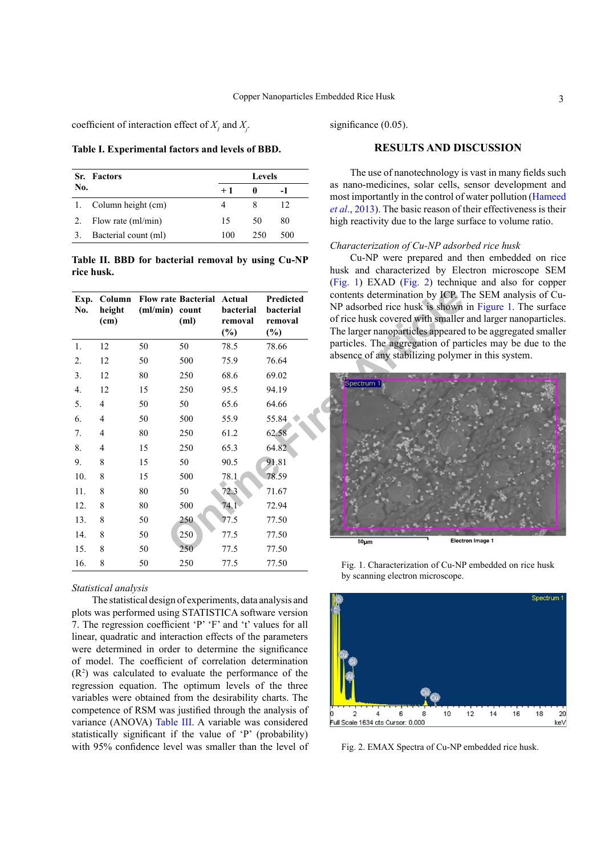coefficient of interaction effect of  $X_i$  and  $X_j$ .

<span id="page-2-0"></span>**Table I. Experimental factors and levels of BBD.**

|     | <b>Sr.</b> Factors    | Levels |     |     |  |
|-----|-----------------------|--------|-----|-----|--|
| No. |                       | $+1$   | o   |     |  |
|     | 1. Column height (cm) |        |     | 12  |  |
| 2.  | Flow rate (ml/min)    | 15     | 50  | 80  |  |
|     | Bacterial count (ml)  | 100    | 250 | 500 |  |

<span id="page-2-1"></span>**Table II. BBD for bacterial removal by using Cu-NP rice husk.**

| Exp.<br>No.      | Column<br>height<br>(cm) | (ml/min) count | <b>Flow rate Bacterial</b><br>(ml) | Actual<br>bacterial<br>removal<br>$(\%)$ | <b>Predicted</b><br>bacterial<br>removal<br>$(\%)$ | contents determination by ICP. T<br>NP adsorbed rice husk is shown<br>of rice husk covered with smaller<br>The larger nanoparticles appeared |
|------------------|--------------------------|----------------|------------------------------------|------------------------------------------|----------------------------------------------------|----------------------------------------------------------------------------------------------------------------------------------------------|
| 1.               | 12                       | 50             | 50                                 | 78.5                                     | 78.66                                              | particles. The aggregation of par                                                                                                            |
| 2.               | 12                       | 50             | 500                                | 75.9                                     | 76.64                                              | absence of any stabilizing polyme                                                                                                            |
| 3.               | 12                       | 80             | 250                                | 68.6                                     | 69.02                                              |                                                                                                                                              |
| $\overline{4}$ . | 12                       | 15             | 250                                | 95.5                                     | 94.19                                              | Spectrum 1                                                                                                                                   |
| 5.               | 4                        | 50             | 50                                 | 65.6                                     | 64.66                                              |                                                                                                                                              |
| 6.               | 4                        | 50             | 500                                | 55.9                                     | 55.84                                              |                                                                                                                                              |
| 7.               | 4                        | 80             | 250                                | 61.2                                     | 62.58                                              |                                                                                                                                              |
| 8.               | 4                        | 15             | 250                                | 65.3                                     | 64.82                                              |                                                                                                                                              |
| 9.               | 8                        | 15             | 50                                 | 90.5                                     | 91.81                                              |                                                                                                                                              |
| 10.              | 8                        | 15             | 500                                | 78.1                                     | 78.59                                              |                                                                                                                                              |
| 11.              | 8                        | 80             | 50                                 | 72.3                                     | 71.67                                              |                                                                                                                                              |
| 12.              | 8                        | 80             | 500                                | 74.1                                     | 72.94                                              |                                                                                                                                              |
| 13.              | 8                        | 50             | 250                                | 77.5                                     | 77.50                                              |                                                                                                                                              |
| 14.              | 8                        | 50             | 250                                | 77.5                                     | 77.50                                              | 50 <sub>µm</sub>                                                                                                                             |
| 15.              | 8                        | 50             | 250                                | 77.5                                     | 77.50                                              |                                                                                                                                              |
| 16.              | 8                        | 50             | 250                                | 77.5                                     | 77.50                                              | Fig. 1. Characterization of Cu-NI                                                                                                            |

#### *Statistical analysis*

The statistical design of experiments, data analysis and plots was performed using STATISTICA software version 7. The regression coefficient 'P' 'F' and 't' values for all linear, quadratic and interaction effects of the parameters were determined in order to determine the significance of model. The coefficient of correlation determination  $(R<sup>2</sup>)$  was calculated to evaluate the performance of the regression equation. The optimum levels of the three variables were obtained from the desirability charts. The competence of RSM was justified through the analysis of variance (ANOVA) [Table III.](#page-3-0) A variable was considered statistically significant if the value of 'P' (probability) with 95% confidence level was smaller than the level of significance  $(0.05)$ .

#### **RESULTS AND DISCUSSION**

The use of nanotechnology is vast in many fields such as nano-medicines, solar cells, sensor development and most importantly in the control of water pollution ([Hameed](#page-5-9) *et al*[., 2013\)](#page-5-9). The basic reason of their effectiveness is their high reactivity due to the large surface to volume ratio.

#### *Characterization of Cu-NP adsorbed rice husk*

Cu-NP were prepared and then embedded on rice husk and characterized by Electron microscope SEM [\(Fig. 1\)](#page-2-2) EXAD [\(Fig. 2\)](#page-2-3) technique and also for copper contents determination by ICP. The SEM analysis of Cu-NP adsorbed rice husk is shown in [Figure 1](#page-2-2). The surface of rice husk covered with smaller and larger nanoparticles. The larger nanoparticles appeared to be aggregated smaller particles. The aggregation of particles may be due to the absence of any stabilizing polymer in this system.



Fig. 1. Characterization of Cu-NP embedded on rice husk by scanning electron microscope.

<span id="page-2-2"></span>

<span id="page-2-3"></span>Fig. 2. EMAX Spectra of Cu-NP embedded rice husk.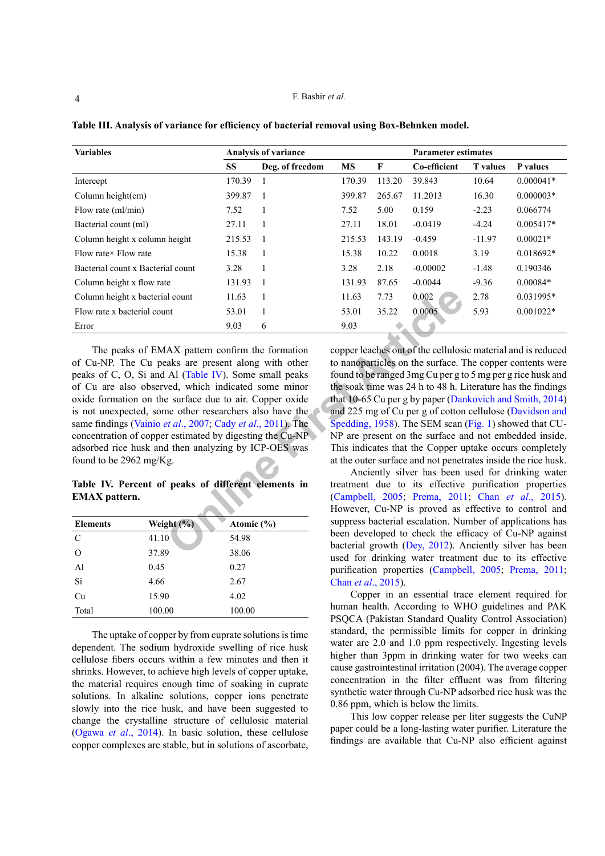| <b>Variables</b>                  | <b>Analysis of variance</b> |                 |        | <b>Parameter estimates</b> |              |                 |             |
|-----------------------------------|-----------------------------|-----------------|--------|----------------------------|--------------|-----------------|-------------|
|                                   | <b>SS</b>                   | Deg. of freedom | MS     | F                          | Co-efficient | <b>T</b> values | P values    |
| Intercept                         | 170.39                      |                 | 170.39 | 113.20                     | 39.843       | 10.64           | $0.000041*$ |
| Column height $(cm)$              | 399.87                      |                 | 399.87 | 265.67                     | 11.2013      | 16.30           | $0.000003*$ |
| Flow rate (ml/min)                | 7.52                        |                 | 7.52   | 5.00                       | 0.159        | $-2.23$         | 0.066774    |
| Bacterial count (ml)              | 27.11                       |                 | 27.11  | 18.01                      | $-0.0419$    | $-4.24$         | $0.005417*$ |
| Column height x column height     | 215.53                      |                 | 215.53 | 143.19                     | $-0.459$     | $-11.97$        | $0.00021*$  |
| Flow rate $\times$ Flow rate      | 15.38                       |                 | 15.38  | 10.22                      | 0.0018       | 3.19            | $0.018692*$ |
| Bacterial count x Bacterial count | 3.28                        | 1               | 3.28   | 2.18                       | $-0.00002$   | $-1.48$         | 0.190346    |
| Column height x flow rate         | 131.93                      |                 | 131.93 | 87.65                      | $-0.0044$    | $-9.36$         | $0.00084*$  |
| Column height x bacterial count   | 11.63                       |                 | 11.63  | 7.73                       | 0.002        | 2.78            | 0.031995*   |
| Flow rate x bacterial count       | 53.01                       |                 | 53.01  | 35.22                      | 0.0005       | 5.93            | $0.001022*$ |
| Error                             | 9.03                        | 6               | 9.03   |                            |              |                 |             |

<span id="page-3-0"></span>**Table III. Analysis of variance for efficiency of bacterial removal using Box-Behnken model.**

**Example 12**<br> **CON[F](#page-5-10)**<br> **EXECUTE:** 1.63 1<br> **EXECUTE:** 1.63 1<br> **FI**<br> **EXECUTE:** 1.63 1<br> **FI**<br> **FI**<br> **FICE:** 1.63 1.6 1.63 3.73 0.002<br> **FICE:** 1.63 3.73 0.002<br> **FICE:** 1.63 3.73 0.002<br> **FICE:** 1.63 3.73 0.002<br> **FICE:** 1.63 3.7 The peaks of EMAX pattern confirm the formation of Cu-NP. The Cu peaks are present along with other peaks of C, O, Si and Al (Table IV). Some small peaks of Cu are also observed, which indicated some minor oxide formation on the surface due to air. Copper oxide is not unexpected, some other researchers also have the same findings (Vainio *et al*., 2007; Cady *et al*., 2011). The concentration of copper estimated by digesting the Cu-NP adsorbed rice husk and then analyzing by ICP-OES was found to be 2962 mg/Kg.

## <span id="page-3-1"></span>**Table IV. Percent of peaks of different elements in EMAX pattern.**

| <b>Elements</b> | Weight $(\frac{9}{6})$ | Atomic $(\% )$ |
|-----------------|------------------------|----------------|
| $\mathcal{C}$   | 41.10                  | 54.98          |
| O               | 37.89                  | 38.06          |
| A <sub>1</sub>  | 0.45                   | 0.27           |
| Si              | 4.66                   | 2.67           |
| Cu              | 15.90                  | 4.02           |
| Total           | 100.00                 | 100.00         |

The uptake of copper by from cuprate solutions is time dependent. The sodium hydroxide swelling of rice husk cellulose fibers occurs within a few minutes and then it shrinks. However, to achieve high levels of copper uptake, the material requires enough time of soaking in cuprate solutions. In alkaline solutions, copper ions penetrate slowly into the rice husk, and have been suggested to change the crystalline structure of cellulosic material (Ogawa *et al*., 2014). In basic solution, these cellulose copper complexes are stable, but in solutions of ascorbate,

copper leaches out of the cellulosic material and is reduced to nanoparticles on the surface. The copper contents were found to be ranged 3mg Cu per g to 5 mg per g rice husk and the soak time was 24 h to 48 h. Literature has the findings that 10-65 Cu per g by paper ([Dankovich and Smith, 2014\)](#page-5-7) and 225 mg of Cu per g of cotton cellulose ([Davidson and](#page-5-11)  Spedding, 1958). The SEM scan ([Fig. 1](#page-2-2)) showed that CU-NP are present on the surface and not embedded inside. This indicates that the Copper uptake occurs completely at the outer surface and not penetrates inside the rice husk.

Anciently silver has been used for drinking water treatment due to its effective purification properties (Campbell, 2005; Prema, 2011; Chan *et al*[., 2015](#page-5-14)). However, Cu-NP is proved as effective to control and suppress bacterial escalation. Number of applications has been developed to check the efficacy of Cu-NP against bacterial growth (Dey, 2012). Anciently silver has been used for drinking water treatment due to its effective purification properties ([Campbell, 2005](#page-5-12); [Prema, 2011](#page-5-13); Chan *et al*[., 2015\)](#page-5-14).

Copper in an essential trace element required for human health. According to WHO guidelines and PAK PSQCA (Pakistan Standard Quality Control Association) standard, the permissible limits for copper in drinking water are 2.0 and 1.0 ppm respectively. Ingesting levels higher than 3ppm in drinking water for two weeks can cause gastrointestinal irritation (2004). The average copper concentration in the filter effluent was from filtering synthetic water through Cu-NP adsorbed rice husk was the 0.86 ppm, which is below the limits.

This low copper release per liter suggests the CuNP paper could be a long-lasting water purifier. Literature the findings are available that Cu-NP also efficient against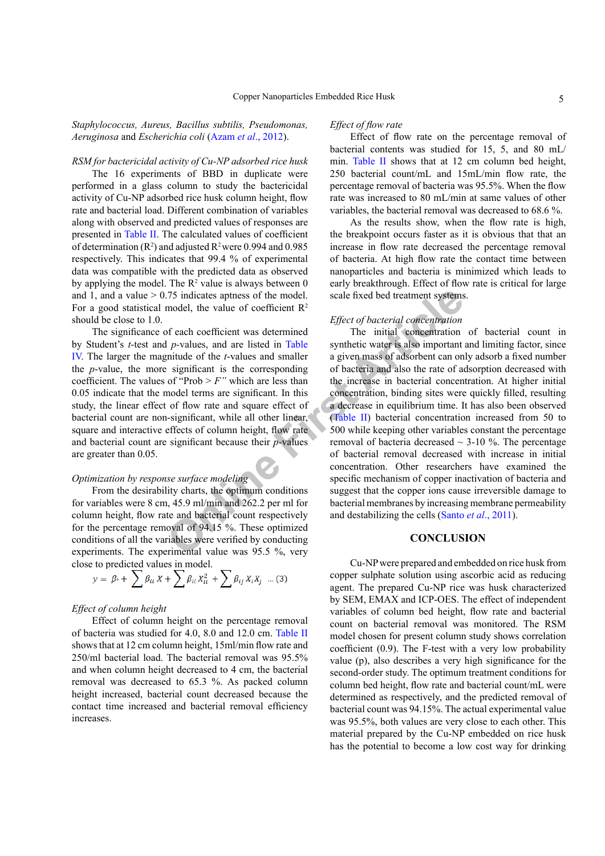*Staphylococcus, Aureus, Bacillus subtilis, Pseudomonas, Aeruginosa* and *Escherichia coli* (Azam *et al*[., 2012\)](#page-5-16).

## *RSM for bactericidal activity of Cu-NP adsorbed rice husk*

The 16 experiments of BBD in duplicate were performed in a glass column to study the bactericidal activity of Cu-NP adsorbed rice husk column height, flow rate and bacterial load. Different combination of variables along with observed and predicted values of responses are presented in [Table II](#page-2-1). The calculated values of coefficient of determination  $(R^2)$  and adjusted  $R^2$  were 0.994 and 0.985 respectively. This indicates that 99.4 % of experimental data was compatible with the predicted data as observed by applying the model. The  $\mathbb{R}^2$  value is always between 0 and 1, and a value  $> 0.75$  indicates aptness of the model. For a good statistical model, the value of coefficient  $R^2$ should be close to 1.0.

The significance of each coefficient was determined by Student's *t*-test and *p-*values, and are listed in Table [IV.](#page-3-1) The larger the magnitude of the *t*-values and smaller the *p*-value, the more significant is the corresponding coefficient. The values of "Prob > *F"* which are less than 0.05 indicate that the model terms are significant. In this study, the linear effect of flow rate and square effect of bacterial count are non-significant, while all other linear, square and interactive effects of column height, flow rate and bacterial count are significant because their *p*-values are greater than 0.05.

## *Optimization by response surface modeling*

From the desirability charts, the optimum conditions for variables were 8 cm, 45.9 ml/min and 262.2 per ml for column height, flow rate and bacterial count respectively for the percentage removal of 94.15 %. These optimized conditions of all the variables were verified by conducting experiments. The experimental value was 95.5 %, very close to predicted values in model.

$$
y = \beta^* + \sum \beta_{ii} X + \sum \beta_{ii} X_{ii}^2 + \sum \beta_{ij} X_i X_j \dots (3)
$$

## *Effect of column height*

Effect of column height on the percentage removal of bacteria was studied for 4.0, 8.0 and 12.0 cm. [Table II](#page-2-1) shows that at 12 cm column height, 15ml/min flow rate and 250/ml bacterial load. The bacterial removal was 95.5% and when column height decreased to 4 cm, the bacterial removal was decreased to 65.3 %. As packed column height increased, bacterial count decreased because the contact time increased and bacterial removal efficiency increases.

#### *Effect of flow rate*

Effect of flow rate on the percentage removal of bacterial contents was studied for 15, 5, and 80 mL/ min. [Table II](#page-2-1) shows that at 12 cm column bed height, 250 bacterial count/mL and 15mL/min flow rate, the percentage removal of bacteria was 95.5%. When the flow rate was increased to 80 mL/min at same values of other variables, the bacterial removal was decreased to 68.6 %.

As the results show, when the flow rate is high, the breakpoint occurs faster as it is obvious that that an increase in flow rate decreased the percentage removal of bacteria. At high flow rate the contact time between nanoparticles and bacteria is minimized which leads to early breakthrough. Effect of flow rate is critical for large scale fixed bed treatment systems.

## *Effect of bacterial concentration*

75 indicate[s](#page-2-1) aptness of the model.<br>
Scale fixed bed treatment systems<br>
The value of coefficient R<sup>2</sup><br>
Effect of bacterial concentration<br>
1 p-values, and are listed in Table<br>
synthetic vater is also important<br>
initial conce The initial concentration of bacterial count in synthetic water is also important and limiting factor, since a given mass of adsorbent can only adsorb a fixed number of bacteria and also the rate of adsorption decreased with the increase in bacterial concentration. At higher initial concentration, binding sites were quickly filled, resulting a decrease in equilibrium time. It has also been observed (Table II) bacterial concentration increased from 50 to 500 while keeping other variables constant the percentage removal of bacteria decreased  $\sim$  3-10 %. The percentage of bacterial removal decreased with increase in initial concentration. Other researchers have examined the specific mechanism of copper inactivation of bacteria and suggest that the copper ions cause irreversible damage to bacterial membranes by increasing membrane permeability and destabilizing the cells (Santo *et al*., 2011).

## **CONCLUSION**

Cu-NP were prepared and embedded on rice husk from copper sulphate solution using ascorbic acid as reducing agent. The prepared Cu-NP rice was husk characterized by SEM, EMAX and ICP-OES. The effect of independent variables of column bed height, flow rate and bacterial count on bacterial removal was monitored. The RSM model chosen for present column study shows correlation coefficient (0.9). The F-test with a very low probability value (p), also describes a very high significance for the second-order study. The optimum treatment conditions for column bed height, flow rate and bacterial count/mL were determined as respectively, and the predicted removal of bacterial count was 94.15%. The actual experimental value was 95.5%, both values are very close to each other. This material prepared by the Cu-NP embedded on rice husk has the potential to become a low cost way for drinking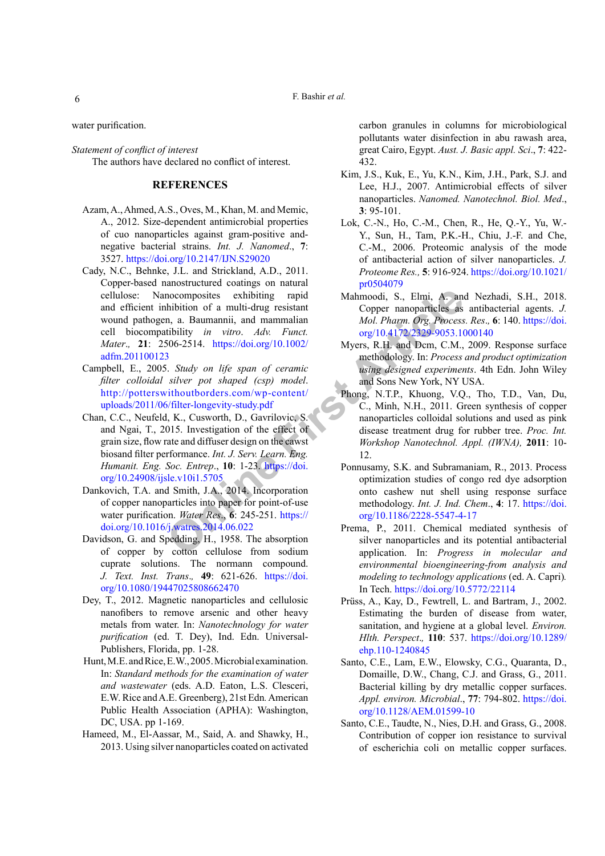F. Bashir *et al.*

water purification.

*Statement of conflict of interest* The authors have declared no conflict of interest.

## **REFERENCES**

- <span id="page-5-16"></span>Azam, A., Ahmed, A.S., Oves, M., Khan, M. and Memic, A., 2012. Size-dependent antimicrobial properties of cuo nanoparticles against gram-positive andnegative bacterial strains. *Int. J. Nanomed*., **7**: 3527. <https://doi.org/10.2147/IJN.S29020>
- <span id="page-5-10"></span>**EVALUATIVE ARRAMELATIFY** and Mahmoodi, S., Elmi, A. and<br>
motion of a multi-drug resistant<br>
motion of a multi-drug resistant<br>
motion and mammalian and Mol. Pharm. Org. Process<br>
fittility in virto. Adv. Funct.<br>
Softe-2514. Cady, N.C., Behnke, J.L. and Strickland, A.D., 2011. Copper-based nanostructured coatings on natural cellulose: Nanocomposites exhibiting rapid and efficient inhibition of a multi-drug resistant wound pathogen, a. Baumannii, and mammalian cell biocompatibility *in vitro*. *Adv. Funct. Mater*.*,* **21**: 2506-2514. https://doi.org/10.1002/ [adfm.201100123](https://doi.org/10.1002/adfm.201100123)
- <span id="page-5-12"></span>Campbell, E., 2005. *Study on life span of ceramic filter colloidal silver pot shaped (csp) model*. [http://potterswithoutborders.com/wp-content/](http://potterswithoutborders.com/wp-content/uploads/2011/06/filter-longevity-study.pdf) [uploads/2011/06/filter-longevity-study.pdf](http://potterswithoutborders.com/wp-content/uploads/2011/06/filter-longevity-study.pdf)
- <span id="page-5-14"></span>Chan, C.C., Neufeld, K., Cusworth, D., Gavrilovic, S. and Ngai, T., 2015. Investigation of the effect of grain size, flow rate and diffuser design on the cawst biosand filter performance. *Int. J. Serv. Learn. Eng. Humanit. Eng. Soc. Entrep*., **10**: 1-23. https://doi. [org/10.24908/ijsle.v10i1.5705](https://doi.org/10.24908/ijsle.v10i1.5705)
- <span id="page-5-7"></span>Dankovich, T.A. and Smith, J.A., 2014. Incorporation of copper nanoparticles into paper for point-of-use water purification. *Water Res*., **6**: 245-251. https:// [doi.org/10.1016/j.watres.2014.06.022](https://doi.org/10.1016/j.watres.2014.06.022)
- <span id="page-5-11"></span>Davidson, G. and Spedding, H., 1958. The absorption of copper by cotton cellulose from sodium cuprate solutions. The normann compound. *J. Text. Inst. Trans*.*,* **49**: 621-626. [https://doi.](https://doi.org/10.1080/19447025808662470) [org/10.1080/19447025808662470](https://doi.org/10.1080/19447025808662470)
- <span id="page-5-15"></span>Dey, T., 2012. Magnetic nanoparticles and cellulosic nanofibers to remove arsenic and other heavy metals from water. In: *Nanotechnology for water purification* (ed. T. Dey), Ind. Edn. Universal-Publishers, Florida, pp. 1-28.
- <span id="page-5-8"></span> Hunt, M.E. and Rice, E.W., 2005. Microbial examination. In: *Standard methods for the examination of water and wastewater* (eds. A.D. Eaton, L.S. Clesceri, E.W. Rice and A.E. Greenberg), 21st Edn*.* American Public Health Association (APHA): Washington, DC, USA. pp 1-169.
- <span id="page-5-9"></span>Hameed, M., El-Aassar, M., Said, A. and Shawky, H., 2013. Using silver nanoparticles coated on activated

carbon granules in columns for microbiological pollutants water disinfection in abu rawash area, great Cairo, Egypt. *Aust. J. Basic appl. Sci*., **7**: 422- 432.

- <span id="page-5-3"></span>Kim, J.S., Kuk, E., Yu, K.N., Kim, J.H., Park, S.J. and Lee, H.J., 2007. Antimicrobial effects of silver nanoparticles. *Nanomed. Nanotechnol. Biol. Med*., **3**: 95-101.
- <span id="page-5-2"></span>Lok, C.-N., Ho, C.-M., Chen, R., He, Q.-Y., Yu, W.- Y., Sun, H., Tam, P.K.-H., Chiu, J.-F. and Che, C.-M., 2006. Proteomic analysis of the mode of antibacterial action of silver nanoparticles. *J. Proteome Res.,* **5**: 916-924. [https://doi.org/10.1021/](https://doi.org/10.1021/pr0504079) [pr0504079](https://doi.org/10.1021/pr0504079)
- <span id="page-5-1"></span>Mahmoodi, S., Elmi, A. and Nezhadi, S.H., 2018. Copper nanoparticles as antibacterial agents. *J. Mol. Pharm. Org. Process. Res*.*,* **6**: 140. [https://doi.](https://doi.org/10.4172/2329-9053.1000140) org/10.4172/2329-9053.1000140
- <span id="page-5-6"></span>Myers, R.H. and Dcm, C.M., 2009. Response surface methodology. In: *Process and product optimization using designed experiments*. 4th Edn. John Wiley and Sons New York, NY USA.
- <span id="page-5-4"></span>Phong, N.T.P., Khuong, V.Q., Tho, T.D., Van, Du, C., Minh, N.H., 2011. Green synthesis of copper nanoparticles colloidal solutions and used as pink disease treatment drug for rubber tree. *Proc. Int. Workshop Nanotechnol. Appl. (IWNA),* **2011**: 10- 12.
- <span id="page-5-5"></span>Ponnusamy, S.K. and Subramaniam, R., 2013. Process optimization studies of congo red dye adsorption onto cashew nut shell using response surface methodology. *Int. J. Ind. Chem*., **4**: 17. [https://doi.](https://doi.org/10.1186/2228-5547-4-17) org/10.1186/2228-5547-4-17
- <span id="page-5-13"></span>Prema, P., 2011. Chemical mediated synthesis of silver nanoparticles and its potential antibacterial application. In: *Progress in molecular and environmental bioengineering-from analysis and modeling to technology applications* (ed. A. Capri)*.* In Tech. <https://doi.org/10.5772/22114>
- Prüss, A., Kay, D., Fewtrell, L. and Bartram, J., 2002. Estimating the burden of disease from water, sanitation, and hygiene at a global level. *Environ. Hlth. Perspect*.*,* **110**: 537. [https://doi.org/10.1289/](https://doi.org/10.1289/ehp.110-1240845) [ehp.110-1240845](https://doi.org/10.1289/ehp.110-1240845)
- <span id="page-5-17"></span>Santo, C.E., Lam, E.W., Elowsky, C.G., Quaranta, D., Domaille, D.W., Chang, C.J. and Grass, G., 2011. Bacterial killing by dry metallic copper surfaces. *Appl. environ. Microbial*., **77**: 794-802. [https://doi.](https://doi.org/10.1128/AEM.01599-10) [org/10.1128/AEM.01599-10](https://doi.org/10.1128/AEM.01599-10)
- <span id="page-5-0"></span>Santo, C.E., Taudte, N., Nies, D.H. and Grass, G., 2008. Contribution of copper ion resistance to survival of escherichia coli on metallic copper surfaces.